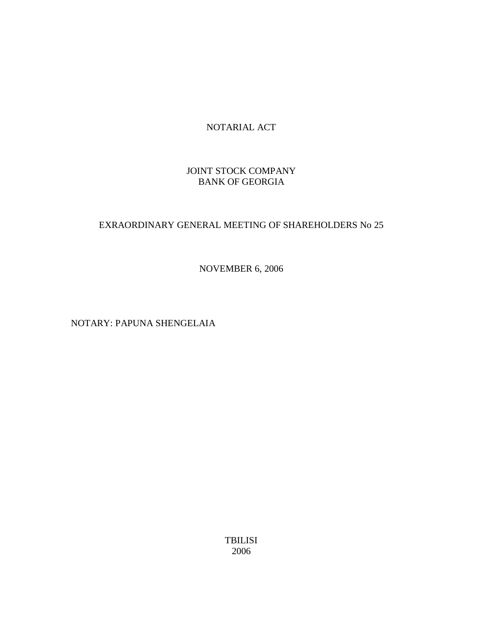# NOTARIAL ACT

# JOINT STOCK COMPANY BANK OF GEORGIA

# EXRAORDINARY GENERAL MEETING OF SHAREHOLDERS No 25

NOVEMBER 6, 2006

NOTARY: PAPUNA SHENGELAIA

TBILISI 2006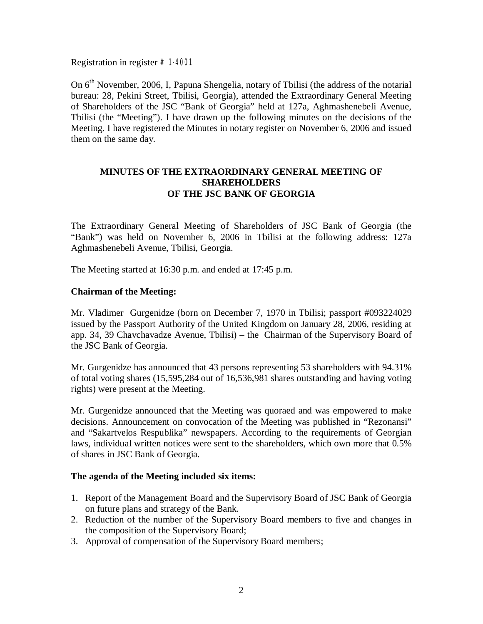Registration in register #1-4001

On 6<sup>th</sup> November, 2006, I, Papuna Shengelia, notary of Tbilisi (the address of the notarial bureau: 28, Pekini Street, Tbilisi, Georgia), attended the Extraordinary General Meeting of Shareholders of the JSC "Bank of Georgia" held at 127a, Aghmashenebeli Avenue, Tbilisi (the "Meeting"). I have drawn up the following minutes on the decisions of the Meeting. I have registered the Minutes in notary register on November 6, 2006 and issued them on the same day.

#### **MINUTES OF THE EXTRAORDINARY GENERAL MEETING OF SHAREHOLDERS OF THE JSC BANK OF GEORGIA**

The Extraordinary General Meeting of Shareholders of JSC Bank of Georgia (the "Bank") was held on November 6, 2006 in Tbilisi at the following address: 127a Aghmashenebeli Avenue, Tbilisi, Georgia.

The Meeting started at 16:30 p.m. and ended at 17:45 p.m.

#### **Chairman of the Meeting:**

Mr. Vladimer Gurgenidze (born on December 7, 1970 in Tbilisi; passport #093224029 issued by the Passport Authority of the United Kingdom on January 28, 2006, residing at app. 34, 39 Chavchavadze Avenue, Tbilisi) – the Chairman of the Supervisory Board of the JSC Bank of Georgia.

Mr. Gurgenidze has announced that 43 persons representing 53 shareholders with 94.31% of total voting shares (15,595,284 out of 16,536,981 shares outstanding and having voting rights) were present at the Meeting.

Mr. Gurgenidze announced that the Meeting was quoraed and was empowered to make decisions. Announcement on convocation of the Meeting was published in "Rezonansi" and "Sakartvelos Respublika" newspapers. According to the requirements of Georgian laws, individual written notices were sent to the shareholders, which own more that 0.5% of shares in JSC Bank of Georgia.

#### **The agenda of the Meeting included six items:**

- 1. Report of the Management Board and the Supervisory Board of JSC Bank of Georgia on future plans and strategy of the Bank.
- 2. Reduction of the number of the Supervisory Board members to five and changes in the composition of the Supervisory Board;
- 3. Approval of compensation of the Supervisory Board members;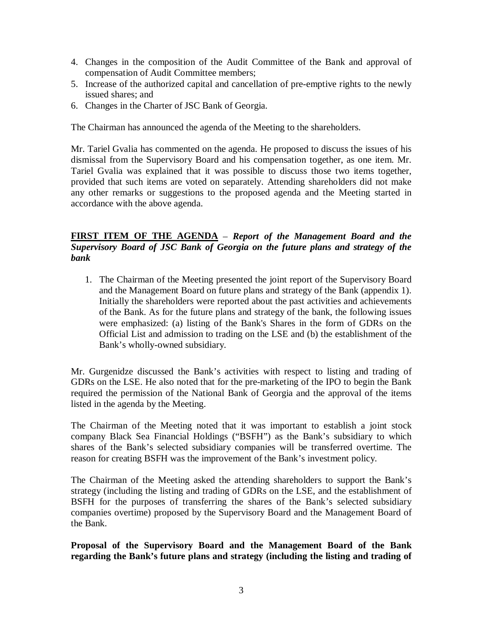- 4. Changes in the composition of the Audit Committee of the Bank and approval of compensation of Audit Committee members;
- 5. Increase of the authorized capital and cancellation of pre-emptive rights to the newly issued shares; and
- 6. Changes in the Charter of JSC Bank of Georgia.

The Chairman has announced the agenda of the Meeting to the shareholders.

Mr. Tariel Gvalia has commented on the agenda. He proposed to discuss the issues of his dismissal from the Supervisory Board and his compensation together, as one item. Mr. Tariel Gvalia was explained that it was possible to discuss those two items together, provided that such items are voted on separately. Attending shareholders did not make any other remarks or suggestions to the proposed agenda and the Meeting started in accordance with the above agenda.

## **FIRST ITEM OF THE AGENDA** – *Report of the Management Board and the Supervisory Board of JSC Bank of Georgia on the future plans and strategy of the bank*

1. The Chairman of the Meeting presented the joint report of the Supervisory Board and the Management Board on future plans and strategy of the Bank (appendix 1). Initially the shareholders were reported about the past activities and achievements of the Bank. As for the future plans and strategy of the bank, the following issues were emphasized: (a) listing of the Bank's Shares in the form of GDRs on the Official List and admission to trading on the LSE and (b) the establishment of the Bank's wholly-owned subsidiary.

Mr. Gurgenidze discussed the Bank's activities with respect to listing and trading of GDRs on the LSE. He also noted that for the pre-marketing of the IPO to begin the Bank required the permission of the National Bank of Georgia and the approval of the items listed in the agenda by the Meeting.

The Chairman of the Meeting noted that it was important to establish a joint stock company Black Sea Financial Holdings ("BSFH") as the Bank's subsidiary to which shares of the Bank's selected subsidiary companies will be transferred overtime. The reason for creating BSFH was the improvement of the Bank's investment policy.

The Chairman of the Meeting asked the attending shareholders to support the Bank's strategy (including the listing and trading of GDRs on the LSE, and the establishment of BSFH for the purposes of transferring the shares of the Bank's selected subsidiary companies overtime) proposed by the Supervisory Board and the Management Board of the Bank.

**Proposal of the Supervisory Board and the Management Board of the Bank regarding the Bank's future plans and strategy (including the listing and trading of**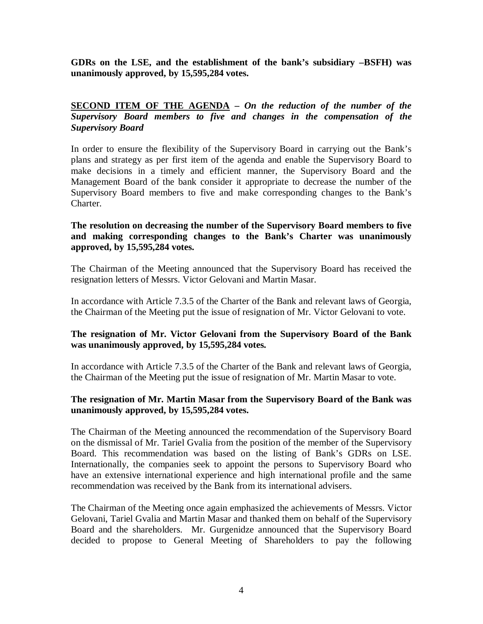**GDRs on the LSE, and the establishment of the bank's subsidiary –BSFH) was unanimously approved, by 15,595,284 votes.** 

## **SECOND ITEM OF THE AGENDA –** *On the reduction of the number of the Supervisory Board members to five and changes in the compensation of the Supervisory Board*

In order to ensure the flexibility of the Supervisory Board in carrying out the Bank's plans and strategy as per first item of the agenda and enable the Supervisory Board to make decisions in a timely and efficient manner, the Supervisory Board and the Management Board of the bank consider it appropriate to decrease the number of the Supervisory Board members to five and make corresponding changes to the Bank's Charter.

#### **The resolution on decreasing the number of the Supervisory Board members to five and making corresponding changes to the Bank's Charter was unanimously approved, by 15,595,284 votes.**

The Chairman of the Meeting announced that the Supervisory Board has received the resignation letters of Messrs. Victor Gelovani and Martin Masar.

In accordance with Article 7.3.5 of the Charter of the Bank and relevant laws of Georgia, the Chairman of the Meeting put the issue of resignation of Mr. Victor Gelovani to vote.

## **The resignation of Mr. Victor Gelovani from the Supervisory Board of the Bank was unanimously approved, by 15,595,284 votes.**

In accordance with Article 7.3.5 of the Charter of the Bank and relevant laws of Georgia, the Chairman of the Meeting put the issue of resignation of Mr. Martin Masar to vote.

## **The resignation of Mr. Martin Masar from the Supervisory Board of the Bank was unanimously approved, by 15,595,284 votes.**

The Chairman of the Meeting announced the recommendation of the Supervisory Board on the dismissal of Mr. Tariel Gvalia from the position of the member of the Supervisory Board. This recommendation was based on the listing of Bank's GDRs on LSE. Internationally, the companies seek to appoint the persons to Supervisory Board who have an extensive international experience and high international profile and the same recommendation was received by the Bank from its international advisers.

The Chairman of the Meeting once again emphasized the achievements of Messrs. Victor Gelovani, Tariel Gvalia and Martin Masar and thanked them on behalf of the Supervisory Board and the shareholders. Mr. Gurgenidze announced that the Supervisory Board decided to propose to General Meeting of Shareholders to pay the following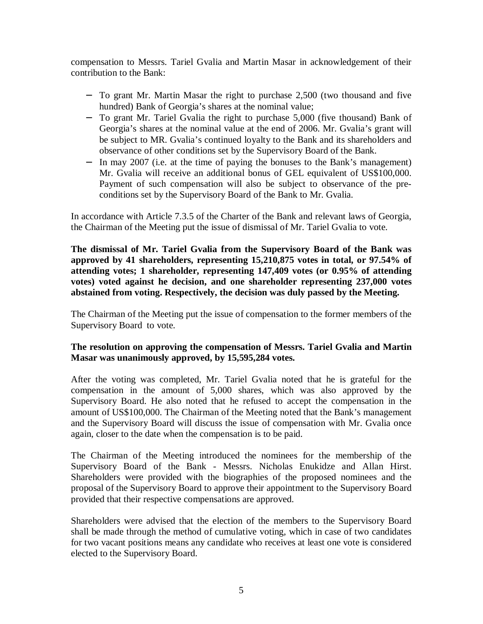compensation to Messrs. Tariel Gvalia and Martin Masar in acknowledgement of their contribution to the Bank:

- − To grant Mr. Martin Masar the right to purchase 2,500 (two thousand and five hundred) Bank of Georgia's shares at the nominal value;
- − To grant Mr. Tariel Gvalia the right to purchase 5,000 (five thousand) Bank of Georgia's shares at the nominal value at the end of 2006. Mr. Gvalia's grant will be subject to MR. Gvalia's continued loyalty to the Bank and its shareholders and observance of other conditions set by the Supervisory Board of the Bank.
- − In may 2007 (i.e. at the time of paying the bonuses to the Bank's management) Mr. Gvalia will receive an additional bonus of GEL equivalent of US\$100,000. Payment of such compensation will also be subject to observance of the preconditions set by the Supervisory Board of the Bank to Mr. Gvalia.

In accordance with Article 7.3.5 of the Charter of the Bank and relevant laws of Georgia, the Chairman of the Meeting put the issue of dismissal of Mr. Tariel Gvalia to vote.

**The dismissal of Mr. Tariel Gvalia from the Supervisory Board of the Bank was approved by 41 shareholders, representing 15,210,875 votes in total, or 97.54% of attending votes; 1 shareholder, representing 147,409 votes (or 0.95% of attending votes) voted against he decision, and one shareholder representing 237,000 votes abstained from voting. Respectively, the decision was duly passed by the Meeting.** 

The Chairman of the Meeting put the issue of compensation to the former members of the Supervisory Board to vote.

## **The resolution on approving the compensation of Messrs. Tariel Gvalia and Martin Masar was unanimously approved, by 15,595,284 votes.**

After the voting was completed, Mr. Tariel Gvalia noted that he is grateful for the compensation in the amount of 5,000 shares, which was also approved by the Supervisory Board. He also noted that he refused to accept the compensation in the amount of US\$100,000. The Chairman of the Meeting noted that the Bank's management and the Supervisory Board will discuss the issue of compensation with Mr. Gvalia once again, closer to the date when the compensation is to be paid.

The Chairman of the Meeting introduced the nominees for the membership of the Supervisory Board of the Bank - Messrs. Nicholas Enukidze and Allan Hirst. Shareholders were provided with the biographies of the proposed nominees and the proposal of the Supervisory Board to approve their appointment to the Supervisory Board provided that their respective compensations are approved.

Shareholders were advised that the election of the members to the Supervisory Board shall be made through the method of cumulative voting, which in case of two candidates for two vacant positions means any candidate who receives at least one vote is considered elected to the Supervisory Board.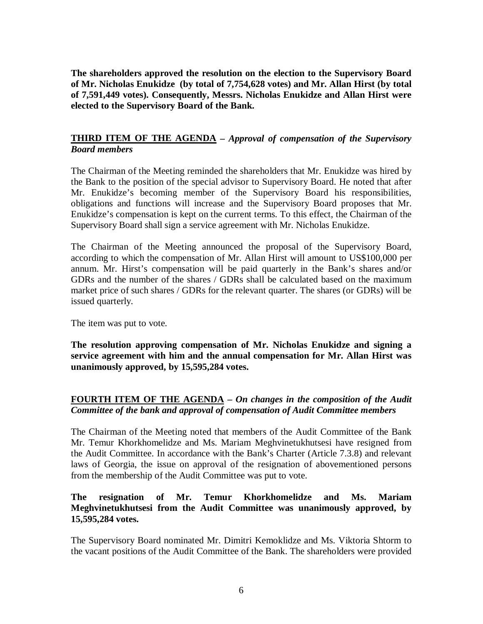**The shareholders approved the resolution on the election to the Supervisory Board of Mr. Nicholas Enukidze (by total of 7,754,628 votes) and Mr. Allan Hirst (by total of 7,591,449 votes). Consequently, Messrs. Nicholas Enukidze and Allan Hirst were elected to the Supervisory Board of the Bank.** 

## **THIRD ITEM OF THE AGENDA –** *Approval of compensation of the Supervisory Board members*

The Chairman of the Meeting reminded the shareholders that Mr. Enukidze was hired by the Bank to the position of the special advisor to Supervisory Board. He noted that after Mr. Enukidze's becoming member of the Supervisory Board his responsibilities, obligations and functions will increase and the Supervisory Board proposes that Mr. Enukidze's compensation is kept on the current terms. To this effect, the Chairman of the Supervisory Board shall sign a service agreement with Mr. Nicholas Enukidze.

The Chairman of the Meeting announced the proposal of the Supervisory Board, according to which the compensation of Mr. Allan Hirst will amount to US\$100,000 per annum. Mr. Hirst's compensation will be paid quarterly in the Bank's shares and/or GDRs and the number of the shares / GDRs shall be calculated based on the maximum market price of such shares / GDRs for the relevant quarter. The shares (or GDRs) will be issued quarterly.

The item was put to vote.

**The resolution approving compensation of Mr. Nicholas Enukidze and signing a service agreement with him and the annual compensation for Mr. Allan Hirst was unanimously approved, by 15,595,284 votes.** 

# **FOURTH ITEM OF THE AGENDA –** *On changes in the composition of the Audit Committee of the bank and approval of compensation of Audit Committee members*

The Chairman of the Meeting noted that members of the Audit Committee of the Bank Mr. Temur Khorkhomelidze and Ms. Mariam Meghvinetukhutsesi have resigned from the Audit Committee. In accordance with the Bank's Charter (Article 7.3.8) and relevant laws of Georgia, the issue on approval of the resignation of abovementioned persons from the membership of the Audit Committee was put to vote.

## **The resignation of Mr. Temur Khorkhomelidze and Ms. Mariam Meghvinetukhutsesi from the Audit Committee was unanimously approved, by 15,595,284 votes.**

The Supervisory Board nominated Mr. Dimitri Kemoklidze and Ms. Viktoria Shtorm to the vacant positions of the Audit Committee of the Bank. The shareholders were provided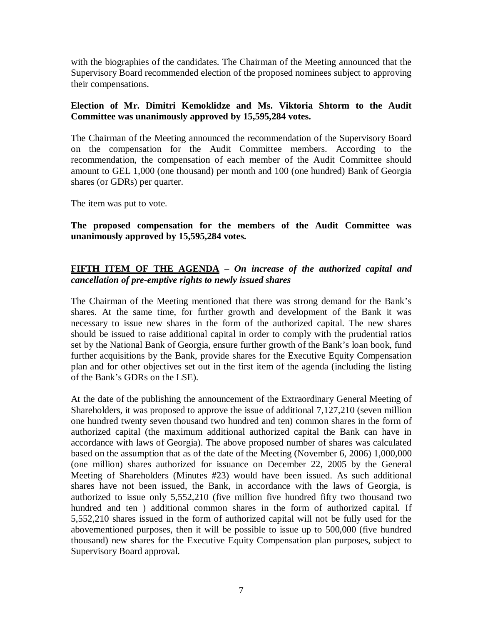with the biographies of the candidates. The Chairman of the Meeting announced that the Supervisory Board recommended election of the proposed nominees subject to approving their compensations.

## **Election of Mr. Dimitri Kemoklidze and Ms. Viktoria Shtorm to the Audit Committee was unanimously approved by 15,595,284 votes.**

The Chairman of the Meeting announced the recommendation of the Supervisory Board on the compensation for the Audit Committee members. According to the recommendation, the compensation of each member of the Audit Committee should amount to GEL 1,000 (one thousand) per month and 100 (one hundred) Bank of Georgia shares (or GDRs) per quarter.

The item was put to vote.

**The proposed compensation for the members of the Audit Committee was unanimously approved by 15,595,284 votes.** 

# **FIFTH ITEM OF THE AGENDA** – *On increase of the authorized capital and cancellation of pre-emptive rights to newly issued shares*

The Chairman of the Meeting mentioned that there was strong demand for the Bank's shares. At the same time, for further growth and development of the Bank it was necessary to issue new shares in the form of the authorized capital. The new shares should be issued to raise additional capital in order to comply with the prudential ratios set by the National Bank of Georgia, ensure further growth of the Bank's loan book, fund further acquisitions by the Bank, provide shares for the Executive Equity Compensation plan and for other objectives set out in the first item of the agenda (including the listing of the Bank's GDRs on the LSE).

At the date of the publishing the announcement of the Extraordinary General Meeting of Shareholders, it was proposed to approve the issue of additional 7,127,210 (seven million one hundred twenty seven thousand two hundred and ten) common shares in the form of authorized capital (the maximum additional authorized capital the Bank can have in accordance with laws of Georgia). The above proposed number of shares was calculated based on the assumption that as of the date of the Meeting (November 6, 2006) 1,000,000 (one million) shares authorized for issuance on December 22, 2005 by the General Meeting of Shareholders (Minutes #23) would have been issued. As such additional shares have not been issued, the Bank, in accordance with the laws of Georgia, is authorized to issue only 5,552,210 (five million five hundred fifty two thousand two hundred and ten ) additional common shares in the form of authorized capital. If 5,552,210 shares issued in the form of authorized capital will not be fully used for the abovementioned purposes, then it will be possible to issue up to 500,000 (five hundred thousand) new shares for the Executive Equity Compensation plan purposes, subject to Supervisory Board approval.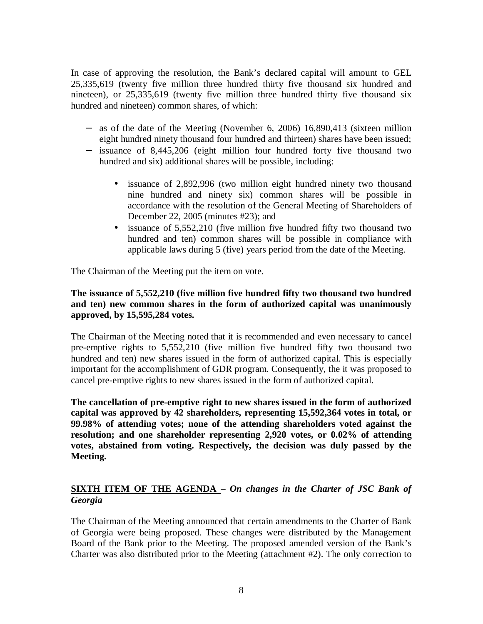In case of approving the resolution, the Bank's declared capital will amount to GEL 25,335,619 (twenty five million three hundred thirty five thousand six hundred and nineteen), or 25,335,619 (twenty five million three hundred thirty five thousand six hundred and nineteen) common shares, of which:

- − as of the date of the Meeting (November 6, 2006) 16,890,413 (sixteen million eight hundred ninety thousand four hundred and thirteen) shares have been issued;
- − issuance of 8,445,206 (eight million four hundred forty five thousand two hundred and six) additional shares will be possible, including:
	- issuance of 2,892,996 (two million eight hundred ninety two thousand nine hundred and ninety six) common shares will be possible in accordance with the resolution of the General Meeting of Shareholders of December 22, 2005 (minutes #23); and
	- issuance of 5,552,210 (five million five hundred fifty two thousand two hundred and ten) common shares will be possible in compliance with applicable laws during 5 (five) years period from the date of the Meeting.

The Chairman of the Meeting put the item on vote.

## **The issuance of 5,552,210 (five million five hundred fifty two thousand two hundred and ten) new common shares in the form of authorized capital was unanimously approved, by 15,595,284 votes.**

The Chairman of the Meeting noted that it is recommended and even necessary to cancel pre-emptive rights to 5,552,210 (five million five hundred fifty two thousand two hundred and ten) new shares issued in the form of authorized capital. This is especially important for the accomplishment of GDR program. Consequently, the it was proposed to cancel pre-emptive rights to new shares issued in the form of authorized capital.

**The cancellation of pre-emptive right to new shares issued in the form of authorized capital was approved by 42 shareholders, representing 15,592,364 votes in total, or 99.98% of attending votes; none of the attending shareholders voted against the resolution; and one shareholder representing 2,920 votes, or 0.02% of attending votes, abstained from voting. Respectively, the decision was duly passed by the Meeting.** 

## **SIXTH ITEM OF THE AGENDA** – *On changes in the Charter of JSC Bank of Georgia*

The Chairman of the Meeting announced that certain amendments to the Charter of Bank of Georgia were being proposed. These changes were distributed by the Management Board of the Bank prior to the Meeting. The proposed amended version of the Bank's Charter was also distributed prior to the Meeting (attachment #2). The only correction to